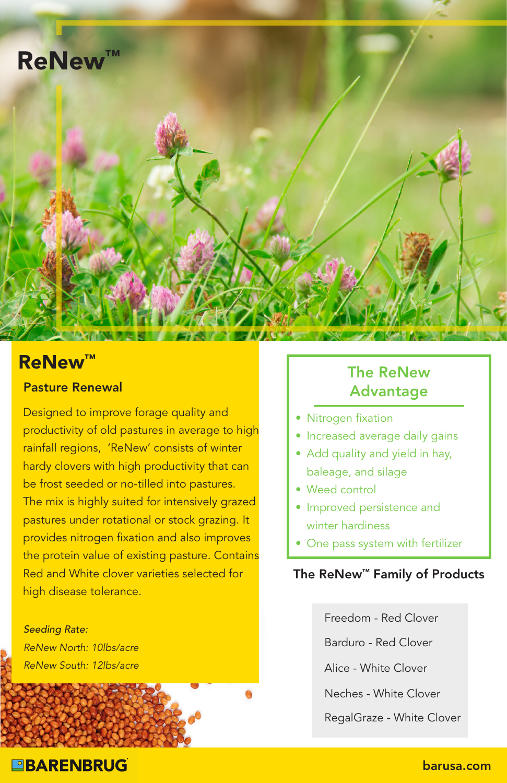

## **ReNew™**

### Pasture Renewal

Designed to improve forage quality and productivity of old pastures in average to high rainfall regions, 'ReNew' consists of winter hardy clovers with high productivity that can be frost seeded or no-tilled into pastures. The mix is highly suited for intensively grazed pastures under rotational or stock grazing. It provides nitrogen fixation and also improves the protein value of existing pasture. Contains Red and White clover varieties selected for high disease tolerance.

*Seeding Rate: ReNew North: 10lbs/acre ReNew South: 12lbs/acre*

## The ReNew Advantage

- Nitrogen fixation
- Increased average daily gains
- Add quality and yield in hay, baleage, and silage
- Weed control
- Improved persistence and winter hardiness
- One pass system with fertilizer

### The ReNew™ Family of Products

Freedom - Red Clover

Barduro - Red Clover

Alice - White Clover

Neches - White Clover

RegalGraze - White Clover

## **BARENBRUG**